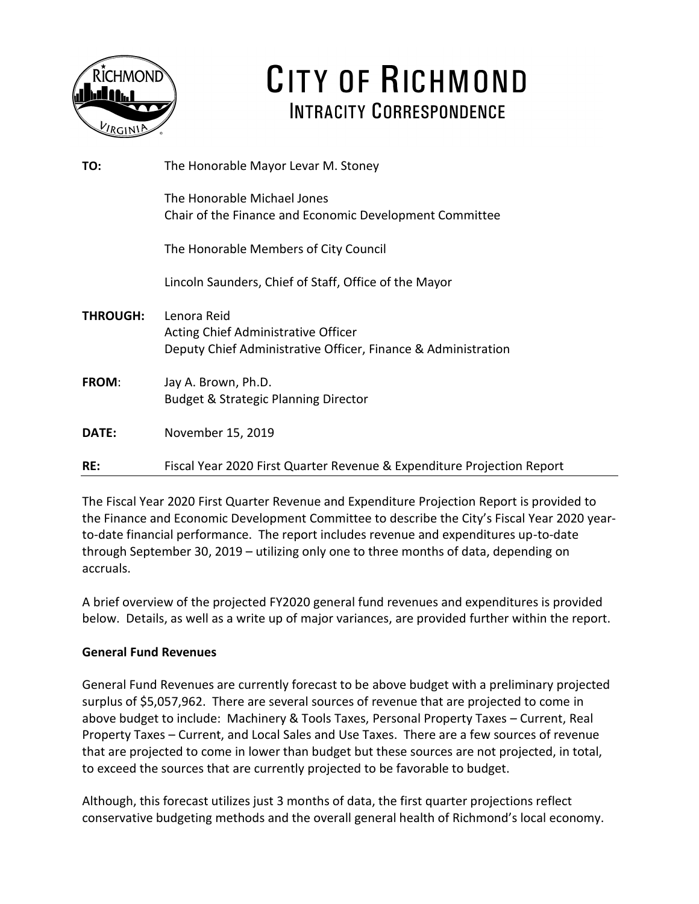

# CITY OF RICHMOND **INTRACITY CORRESPONDENCE**

| TO:             | The Honorable Mayor Levar M. Stoney                                                                                 |
|-----------------|---------------------------------------------------------------------------------------------------------------------|
|                 | The Honorable Michael Jones<br>Chair of the Finance and Economic Development Committee                              |
|                 | The Honorable Members of City Council                                                                               |
|                 | Lincoln Saunders, Chief of Staff, Office of the Mayor                                                               |
| <b>THROUGH:</b> | Lenora Reid<br>Acting Chief Administrative Officer<br>Deputy Chief Administrative Officer, Finance & Administration |
| <b>FROM:</b>    | Jay A. Brown, Ph.D.<br><b>Budget &amp; Strategic Planning Director</b>                                              |
| DATE:           | November 15, 2019                                                                                                   |
| RE:             | Fiscal Year 2020 First Quarter Revenue & Expenditure Projection Report                                              |

The Fiscal Year 2020 First Quarter Revenue and Expenditure Projection Report is provided to the Finance and Economic Development Committee to describe the City's Fiscal Year 2020 yearto-date financial performance. The report includes revenue and expenditures up-to-date through September 30, 2019 – utilizing only one to three months of data, depending on accruals.

A brief overview of the projected FY2020 general fund revenues and expenditures is provided below. Details, as well as a write up of major variances, are provided further within the report.

### **General Fund Revenues**

General Fund Revenues are currently forecast to be above budget with a preliminary projected surplus of \$5,057,962. There are several sources of revenue that are projected to come in above budget to include: Machinery & Tools Taxes, Personal Property Taxes – Current, Real Property Taxes – Current, and Local Sales and Use Taxes. There are a few sources of revenue that are projected to come in lower than budget but these sources are not projected, in total, to exceed the sources that are currently projected to be favorable to budget.

Although, this forecast utilizes just 3 months of data, the first quarter projections reflect conservative budgeting methods and the overall general health of Richmond's local economy.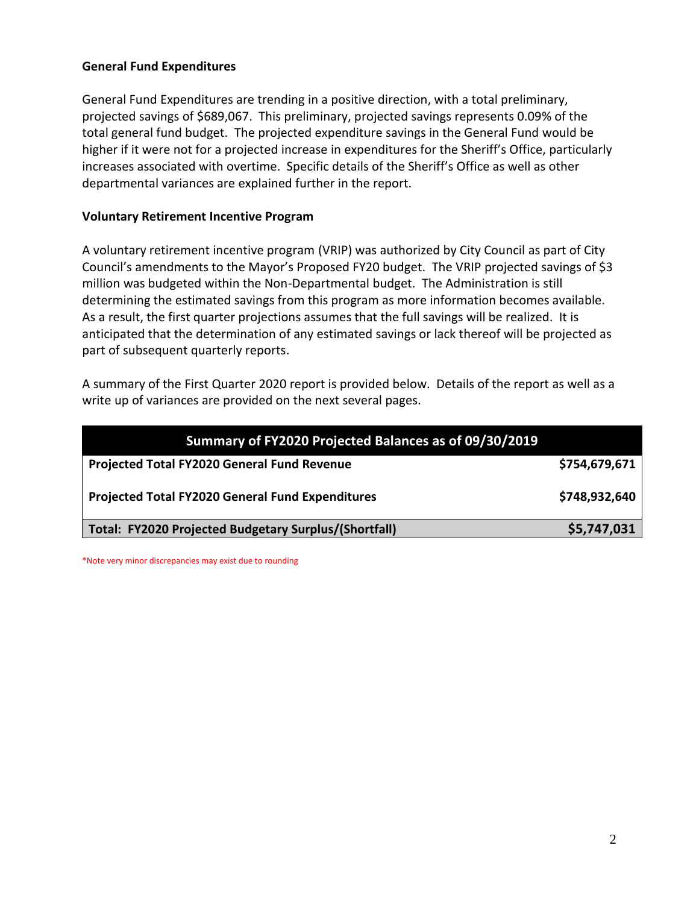#### **General Fund Expenditures**

General Fund Expenditures are trending in a positive direction, with a total preliminary, projected savings of \$689,067. This preliminary, projected savings represents 0.09% of the total general fund budget. The projected expenditure savings in the General Fund would be higher if it were not for a projected increase in expenditures for the Sheriff's Office, particularly increases associated with overtime. Specific details of the Sheriff's Office as well as other departmental variances are explained further in the report.

#### **Voluntary Retirement Incentive Program**

A voluntary retirement incentive program (VRIP) was authorized by City Council as part of City Council's amendments to the Mayor's Proposed FY20 budget. The VRIP projected savings of \$3 million was budgeted within the Non-Departmental budget. The Administration is still determining the estimated savings from this program as more information becomes available. As a result, the first quarter projections assumes that the full savings will be realized. It is anticipated that the determination of any estimated savings or lack thereof will be projected as part of subsequent quarterly reports.

A summary of the First Quarter 2020 report is provided below. Details of the report as well as a write up of variances are provided on the next several pages.

| Summary of FY2020 Projected Balances as of 09/30/2019   |               |  |  |  |
|---------------------------------------------------------|---------------|--|--|--|
| Projected Total FY2020 General Fund Revenue             | \$754,679,671 |  |  |  |
| <b>Projected Total FY2020 General Fund Expenditures</b> | \$748,932,640 |  |  |  |
| Total: FY2020 Projected Budgetary Surplus/(Shortfall)   | \$5,747,031   |  |  |  |

\*Note very minor discrepancies may exist due to rounding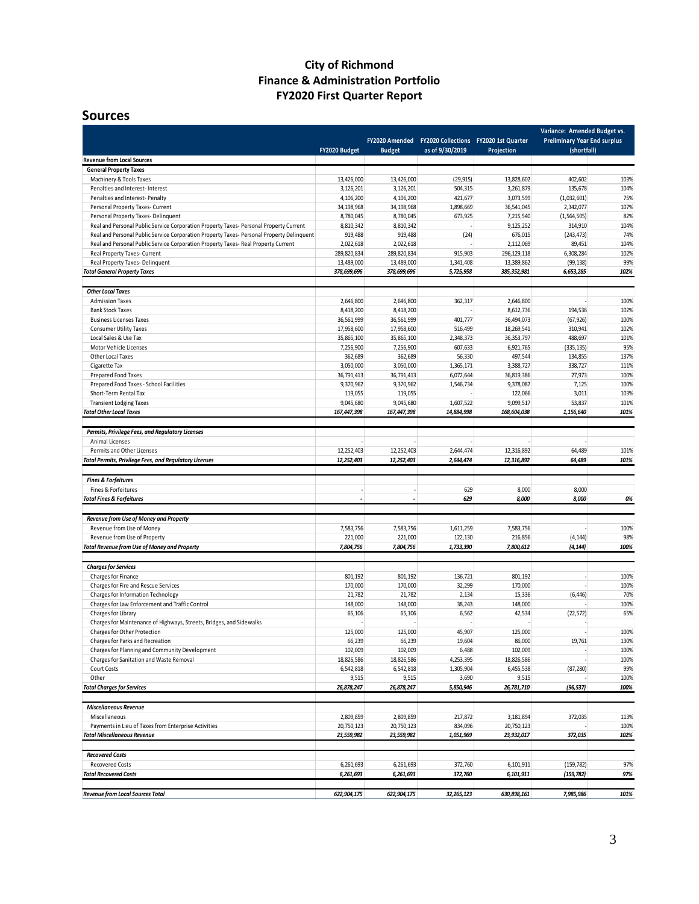### **City of Richmond Finance & Administration Portfolio FY2020 First Quarter Report**

#### **Sources**

|                                                                                                                    | FY2020 Budget            | FY2020 Amended<br><b>Budget</b> | as of 9/30/2019   | FY2020 Collections FY2020 1st Quarter<br>Projection | Variance: Amended Budget vs.<br><b>Preliminary Year End surplus</b><br>(shortfall) |              |
|--------------------------------------------------------------------------------------------------------------------|--------------------------|---------------------------------|-------------------|-----------------------------------------------------|------------------------------------------------------------------------------------|--------------|
| <b>Revenue from Local Sources</b>                                                                                  |                          |                                 |                   |                                                     |                                                                                    |              |
| <b>General Property Taxes</b>                                                                                      |                          |                                 |                   |                                                     |                                                                                    |              |
| Machinery & Tools Taxes                                                                                            | 13,426,000               | 13,426,000                      | (29, 915)         | 13,828,602                                          | 402,602                                                                            | 103%         |
| Penalties and Interest- Interest                                                                                   | 3,126,201                | 3,126,201                       | 504,315           | 3,261,879                                           | 135,678                                                                            | 104%         |
| Penalties and Interest-Penalty                                                                                     | 4,106,200                | 4,106,200                       | 421,677           | 3,073,599                                           | (1,032,601)                                                                        | 75%          |
| Personal Property Taxes- Current                                                                                   | 34,198,968               | 34,198,968                      | 1,898,669         | 36,541,045                                          | 2,342,077                                                                          | 107%         |
| Personal Property Taxes-Delinquent                                                                                 | 8,780,045                | 8,780,045                       | 673,925           | 7,215,540                                           | (1, 564, 505)                                                                      | 82%          |
| Real and Personal Public Service Corporation Property Taxes- Personal Property Current                             | 8,810,342                | 8,810,342                       |                   | 9,125,252                                           | 314,910                                                                            | 104%         |
| Real and Personal Public Service Corporation Property Taxes- Personal Property Delinquent                          | 919,488                  | 919,488                         | (24)              | 676,015                                             | (243, 473)                                                                         | 74%          |
| Real and Personal Public Service Corporation Property Taxes- Real Property Current<br>Real Property Taxes- Current | 2,022,618<br>289,820,834 | 2,022,618                       | 915,903           | 2,112,069<br>296, 129, 118                          | 89,451                                                                             | 104%<br>102% |
| Real Property Taxes-Delinquent                                                                                     | 13,489,000               | 289,820,834<br>13,489,000       | 1,341,408         | 13,389,862                                          | 6,308,284<br>(99, 138)                                                             | 99%          |
| <b>Total General Property Taxes</b>                                                                                | 378,699,696              | 378,699,696                     | 5,725,958         | 385, 352, 981                                       | 6,653,285                                                                          | 102%         |
| <b>Other Local Taxes</b>                                                                                           |                          |                                 |                   |                                                     |                                                                                    |              |
| <b>Admission Taxes</b>                                                                                             | 2,646,800                | 2,646,800                       | 362,317           | 2,646,800                                           |                                                                                    | 100%         |
| <b>Bank Stock Taxes</b>                                                                                            | 8,418,200                | 8,418,200                       |                   | 8,612,736                                           | 194,536                                                                            | 102%         |
| <b>Business Licenses Taxes</b>                                                                                     | 36,561,999               | 36,561,999                      | 401,777           | 36,494,073                                          | (67, 926)                                                                          | 100%         |
| <b>Consumer Utility Taxes</b>                                                                                      | 17,958,600               | 17,958,600                      | 516,499           | 18,269,541                                          | 310,941                                                                            | 102%         |
| Local Sales & Use Tax                                                                                              | 35,865,100               | 35,865,100                      | 2,348,373         | 36, 353, 797                                        | 488,697                                                                            | 101%         |
| Motor Vehicle Licenses                                                                                             | 7,256,900                | 7,256,900                       | 607,633           | 6,921,765                                           | (335, 135)                                                                         | 95%          |
| Other Local Taxes                                                                                                  | 362,689                  | 362,689                         | 56,330            | 497,544                                             | 134,855                                                                            | 137%         |
| Cigarette Tax                                                                                                      | 3,050,000                | 3,050,000                       | 1,365,171         | 3,388,727                                           | 338,727                                                                            | 111%         |
| Prepared Food Taxes                                                                                                | 36,791,413               | 36,791,413                      | 6,072,644         | 36,819,386                                          | 27,973                                                                             | 100%         |
| Prepared Food Taxes - School Facilities                                                                            | 9,370,962                | 9,370,962                       | 1,546,734         | 9,378,087                                           | 7,125                                                                              | 100%         |
| Short-Term Rental Tax                                                                                              | 119,055                  | 119,055                         |                   | 122,066                                             | 3,011                                                                              | 103%         |
| <b>Transient Lodging Taxes</b>                                                                                     | 9,045,680                | 9,045,680                       | 1,607,522         | 9,099,517                                           | 53,837                                                                             | 101%         |
| <b>Total Other Local Taxes</b>                                                                                     | 167,447,398              | 167,447,398                     | 14,884,998        | 168,604,038                                         | 1,156,640                                                                          | 101%         |
| Permits, Privilege Fees, and Regulatory Licenses                                                                   |                          |                                 |                   |                                                     |                                                                                    |              |
| Animal Licenses                                                                                                    |                          |                                 |                   |                                                     |                                                                                    |              |
| Permits and Other Licenses                                                                                         | 12,252,403               | 12,252,403                      | 2,644,474         | 12,316,892                                          | 64,489                                                                             | 101%         |
| <b>Total Permits, Privilege Fees, and Regulatory Licenses</b>                                                      | 12,252,403               | 12,252,403                      | 2,644,474         | 12,316,892                                          | 64,489                                                                             | 101%         |
| <b>Fines &amp; Forfeitures</b>                                                                                     |                          |                                 |                   |                                                     |                                                                                    |              |
| Fines & Forfeitures                                                                                                |                          |                                 | 629               | 8,000                                               | 8,000                                                                              |              |
| <b>Total Fines &amp; Forfeitures</b>                                                                               |                          |                                 | 629               | 8,000                                               | 8,000                                                                              | 0%           |
| Revenue from Use of Money and Property                                                                             |                          |                                 |                   |                                                     |                                                                                    |              |
| Revenue from Use of Money                                                                                          | 7,583,756                | 7,583,756                       | 1,611,259         | 7,583,756                                           |                                                                                    | 100%         |
| Revenue from Use of Property                                                                                       | 221,000                  | 221,000                         | 122,130           | 216,856                                             | (4, 144)                                                                           | 98%          |
| <b>Total Revenue from Use of Money and Property</b>                                                                | 7,804,756                | 7,804,756                       | 1,733,390         | 7,800,612                                           | (4, 144)                                                                           | 100%         |
|                                                                                                                    |                          |                                 |                   |                                                     |                                                                                    |              |
| <b>Charges for Services</b>                                                                                        |                          |                                 |                   |                                                     | $\sim$                                                                             |              |
| Charges for Finance<br>Charges for Fire and Rescue Services                                                        | 801,192<br>170,000       | 801,192<br>170,000              | 136,721<br>32,299 | 801,192<br>170,000                                  |                                                                                    | 100%<br>100% |
| Charges for Information Technology                                                                                 | 21,782                   | 21,782                          | 2,134             | 15,336                                              | (6, 446)                                                                           | 70%          |
| Charges for Law Enforcement and Traffic Control                                                                    | 148,000                  | 148,000                         | 38,243            | 148,000                                             |                                                                                    | 100%         |
| Charges for Library                                                                                                | 65,106                   | 65,106                          | 6,562             | 42,534                                              | (22, 572)                                                                          | 65%          |
| Charges for Maintenance of Highways, Streets, Bridges, and Sidewalks                                               |                          |                                 |                   |                                                     |                                                                                    |              |
| Charges for Other Protection                                                                                       | 125,000                  | 125,000                         | 45.907            | 125,000                                             |                                                                                    | 100%         |
| Charges for Parks and Recreation                                                                                   | 66,239                   | 66,239                          | 19,604            | 86,000                                              | 19,761                                                                             | 130%         |
| Charges for Planning and Community Development                                                                     | 102,009                  | 102,009                         | 6,488             | 102,009                                             | $\overline{\phantom{a}}$                                                           | 100%         |
| Charges for Sanitation and Waste Removal                                                                           | 18,826,586               | 18,826,586                      | 4,253,395         | 18,826,586                                          | ×.                                                                                 | 100%         |
| Court Costs                                                                                                        | 6,542,818                | 6,542,818                       | 1,305,904         | 6,455,538                                           | (87, 280)                                                                          | 99%          |
| Other                                                                                                              | 9,515                    | 9,515                           | 3,690             | 9,515                                               |                                                                                    | 100%         |
| <b>Total Charges for Services</b>                                                                                  | 26,878,247               | 26,878,247                      | 5,850,946         | 26,781,710                                          | (96, 537)                                                                          | 100%         |
| <b>Miscellaneous Revenue</b>                                                                                       |                          |                                 |                   |                                                     |                                                                                    |              |
| Miscellaneous                                                                                                      | 2,809,859                | 2,809,859                       | 217,872           | 3,181,894                                           | 372,035                                                                            | 113%         |
| Payments in Lieu of Taxes from Enterprise Activities                                                               | 20,750,123               | 20,750,123                      | 834,096           | 20,750,123                                          |                                                                                    | 100%         |
| <b>Total Miscellaneous Revenue</b>                                                                                 | 23,559,982               | 23,559,982                      | 1,051,969         | 23,932,017                                          | 372,035                                                                            | 102%         |
| <b>Recovered Costs</b>                                                                                             |                          |                                 |                   |                                                     |                                                                                    |              |
| <b>Recovered Costs</b>                                                                                             | 6,261,693                | 6,261,693                       | 372,760           | 6,101,911                                           | (159, 782)                                                                         | 97%          |
| <b>Total Recovered Costs</b>                                                                                       | 6,261,693                | 6,261,693                       | 372,760           | 6,101,911                                           | (159, 782)                                                                         | 97%          |
|                                                                                                                    |                          |                                 |                   |                                                     |                                                                                    |              |
| Revenue from Local Sources Total                                                                                   | 622,904,175              | 622,904,175                     | 32,265,123        | 630,898,161                                         | 7,985,986                                                                          | 101%         |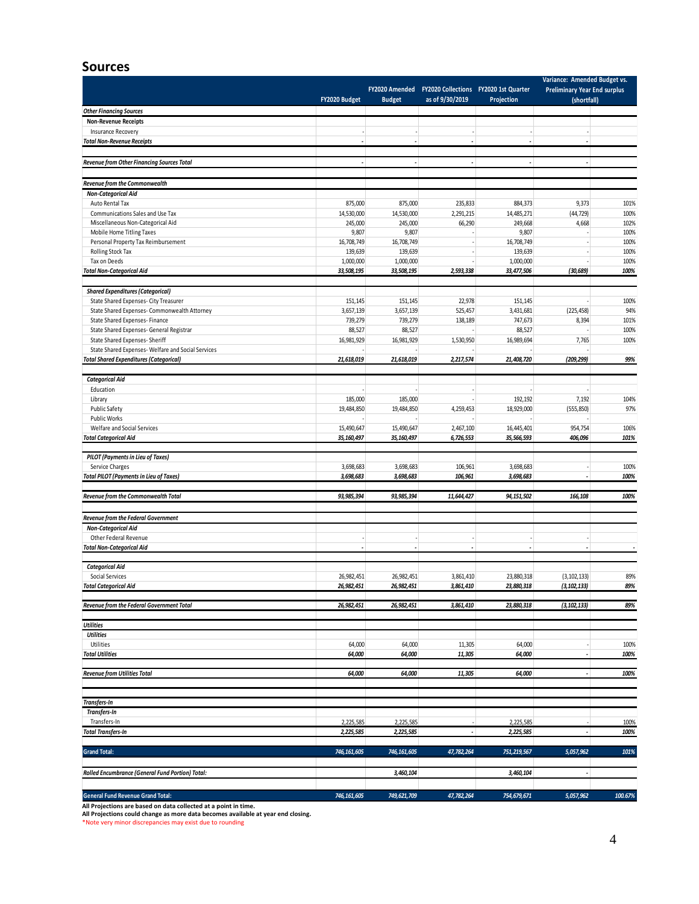#### **Sources**

|                                                                                                                                                                                                                                                                                                                                                                        | FY2020 Budget            | <b>Budget</b>            | FY2020 Amended FY2020 Collections FY2020 1st Quarter<br>as of 9/30/2019 | Projection               | Variance: Amended Budget vs.<br><b>Preliminary Year End surplus</b><br>(shortfall) |                      |
|------------------------------------------------------------------------------------------------------------------------------------------------------------------------------------------------------------------------------------------------------------------------------------------------------------------------------------------------------------------------|--------------------------|--------------------------|-------------------------------------------------------------------------|--------------------------|------------------------------------------------------------------------------------|----------------------|
| <b>Other Financing Sources</b>                                                                                                                                                                                                                                                                                                                                         |                          |                          |                                                                         |                          |                                                                                    |                      |
| <b>Non-Revenue Receipts</b>                                                                                                                                                                                                                                                                                                                                            |                          |                          |                                                                         |                          |                                                                                    |                      |
| <b>Insurance Recovery</b>                                                                                                                                                                                                                                                                                                                                              |                          |                          |                                                                         | $\tilde{\phantom{a}}$    |                                                                                    |                      |
| <b>Total Non-Revenue Receipts</b>                                                                                                                                                                                                                                                                                                                                      | Ĭ.                       | ÷,                       | ÷,                                                                      | ÷,                       | ä,                                                                                 |                      |
|                                                                                                                                                                                                                                                                                                                                                                        |                          |                          |                                                                         |                          |                                                                                    |                      |
| Revenue from Other Financing Sources Total                                                                                                                                                                                                                                                                                                                             | $\overline{\phantom{a}}$ | $\overline{\phantom{a}}$ | $\overline{\phantom{a}}$                                                | $\overline{\phantom{a}}$ | $\overline{\phantom{a}}$                                                           |                      |
|                                                                                                                                                                                                                                                                                                                                                                        |                          |                          |                                                                         |                          |                                                                                    |                      |
| Revenue from the Commonwealth                                                                                                                                                                                                                                                                                                                                          |                          |                          |                                                                         |                          |                                                                                    |                      |
| <b>Non-Categorical Aid</b>                                                                                                                                                                                                                                                                                                                                             |                          |                          |                                                                         |                          |                                                                                    |                      |
| Auto Rental Tax                                                                                                                                                                                                                                                                                                                                                        | 875,000                  | 875,000                  | 235,833                                                                 | 884,373                  | 9,373                                                                              | 101%                 |
| Communications Sales and Use Tax                                                                                                                                                                                                                                                                                                                                       | 14,530,000               | 14,530,000               | 2,291,215                                                               | 14,485,271               | (44, 729)                                                                          | 100%                 |
| Miscellaneous Non-Categorical Aid                                                                                                                                                                                                                                                                                                                                      | 245,000                  | 245,000                  | 66,290                                                                  | 249,668                  | 4,668                                                                              | 102%                 |
| Mobile Home Titling Taxes                                                                                                                                                                                                                                                                                                                                              | 9,807                    | 9,807                    |                                                                         | 9,807                    |                                                                                    | 100%                 |
| Personal Property Tax Reimbursement                                                                                                                                                                                                                                                                                                                                    | 16,708,749               | 16,708,749               |                                                                         | 16,708,749               |                                                                                    | 100%                 |
| Rolling Stock Tax                                                                                                                                                                                                                                                                                                                                                      | 139,639                  | 139,639                  |                                                                         | 139,639                  |                                                                                    | 100%                 |
| Tax on Deeds                                                                                                                                                                                                                                                                                                                                                           | 1,000,000                | 1,000,000                |                                                                         | 1,000,000                |                                                                                    | 100%                 |
| <b>Total Non-Categorical Aid</b>                                                                                                                                                                                                                                                                                                                                       | 33,508,195               | 33,508,195               | 2,593,338                                                               | 33,477,506               | (30, 689)                                                                          | 100%                 |
|                                                                                                                                                                                                                                                                                                                                                                        |                          |                          |                                                                         |                          |                                                                                    |                      |
| <b>Shared Expenditures (Categorical)</b>                                                                                                                                                                                                                                                                                                                               |                          |                          |                                                                         |                          |                                                                                    |                      |
| State Shared Expenses- City Treasurer                                                                                                                                                                                                                                                                                                                                  | 151,145                  | 151,145                  | 22,978                                                                  | 151,145                  |                                                                                    | 100%                 |
| State Shared Expenses- Commonwealth Attorney<br>State Shared Expenses- Finance                                                                                                                                                                                                                                                                                         | 3,657,139<br>739,279     | 3,657,139<br>739,279     | 525,457<br>138,189                                                      | 3,431,681                | (225, 458)<br>8,394                                                                | 94%<br>101%          |
| State Shared Expenses- General Registrar                                                                                                                                                                                                                                                                                                                               | 88,527                   | 88,527                   | $\overline{\phantom{a}}$                                                | 747,673<br>88,527        |                                                                                    | 100%                 |
| State Shared Expenses- Sheriff                                                                                                                                                                                                                                                                                                                                         | 16,981,929               | 16,981,929               | 1,530,950                                                               | 16,989,694               | 7,765                                                                              | 100%                 |
| State Shared Expenses-Welfare and Social Services                                                                                                                                                                                                                                                                                                                      |                          |                          |                                                                         |                          |                                                                                    |                      |
| <b>Total Shared Expenditures (Categorical)</b>                                                                                                                                                                                                                                                                                                                         | 21,618,019               | 21,618,019               | 2,217,574                                                               | 21,408,720               | (209, 299)                                                                         | 99%                  |
|                                                                                                                                                                                                                                                                                                                                                                        |                          |                          |                                                                         |                          |                                                                                    |                      |
| <b>Categorical Aid</b>                                                                                                                                                                                                                                                                                                                                                 |                          |                          |                                                                         |                          |                                                                                    |                      |
| Education                                                                                                                                                                                                                                                                                                                                                              |                          |                          |                                                                         |                          |                                                                                    |                      |
| Library                                                                                                                                                                                                                                                                                                                                                                | 185,000                  | 185,000                  |                                                                         | 192,192                  | 7,192                                                                              | 104%                 |
| <b>Public Safety</b>                                                                                                                                                                                                                                                                                                                                                   | 19,484,850               | 19,484,850               | 4,259,453                                                               | 18,929,000               | (555, 850)                                                                         | 97%                  |
| Public Works                                                                                                                                                                                                                                                                                                                                                           |                          |                          |                                                                         |                          |                                                                                    |                      |
| Welfare and Social Services                                                                                                                                                                                                                                                                                                                                            | 15,490,647               | 15,490,647               | 2,467,100                                                               | 16,445,401               | 954,754                                                                            | 106%                 |
| <b>Total Categorical Aid</b>                                                                                                                                                                                                                                                                                                                                           | 35,160,497               | 35,160,497               | 6,726,553                                                               | 35,566,593               | 406,096                                                                            | 101%                 |
|                                                                                                                                                                                                                                                                                                                                                                        |                          |                          |                                                                         |                          |                                                                                    |                      |
| <b>PILOT</b> (Payments in Lieu of Taxes)                                                                                                                                                                                                                                                                                                                               |                          |                          |                                                                         |                          |                                                                                    |                      |
| Service Charges                                                                                                                                                                                                                                                                                                                                                        | 3,698,683                | 3,698,683                | 106,961                                                                 | 3,698,683                |                                                                                    | 100%                 |
| <b>Total PILOT (Payments in Lieu of Taxes)</b>                                                                                                                                                                                                                                                                                                                         | 3,698,683                | 3,698,683                | 106,961                                                                 | 3,698,683                |                                                                                    | 100%                 |
|                                                                                                                                                                                                                                                                                                                                                                        |                          |                          |                                                                         |                          |                                                                                    |                      |
| Revenue from the Commonwealth Total                                                                                                                                                                                                                                                                                                                                    | 93,985,394               | 93,985,394               | 11,644,427                                                              | 94,151,502               | 166,108                                                                            | 100%                 |
|                                                                                                                                                                                                                                                                                                                                                                        |                          |                          |                                                                         |                          |                                                                                    |                      |
| Revenue from the Federal Government                                                                                                                                                                                                                                                                                                                                    |                          |                          |                                                                         |                          |                                                                                    |                      |
| <b>Non-Categorical Aid</b>                                                                                                                                                                                                                                                                                                                                             |                          |                          |                                                                         |                          |                                                                                    |                      |
|                                                                                                                                                                                                                                                                                                                                                                        |                          |                          |                                                                         |                          |                                                                                    |                      |
| Other Federal Revenue                                                                                                                                                                                                                                                                                                                                                  |                          |                          |                                                                         | ä,                       |                                                                                    |                      |
|                                                                                                                                                                                                                                                                                                                                                                        |                          |                          | ÷.                                                                      | $\overline{\phantom{a}}$ |                                                                                    |                      |
|                                                                                                                                                                                                                                                                                                                                                                        |                          |                          |                                                                         |                          |                                                                                    |                      |
| <b>Categorical Aid</b>                                                                                                                                                                                                                                                                                                                                                 |                          |                          |                                                                         |                          |                                                                                    |                      |
| <b>Social Services</b>                                                                                                                                                                                                                                                                                                                                                 | 26,982,451               | 26,982,451               | 3,861,410                                                               | 23,880,318               | (3, 102, 133)                                                                      | 89%                  |
|                                                                                                                                                                                                                                                                                                                                                                        | 26,982,451               | 26,982,451               | 3,861,410                                                               | 23,880,318               | (3, 102, 133)                                                                      |                      |
|                                                                                                                                                                                                                                                                                                                                                                        |                          |                          |                                                                         |                          |                                                                                    |                      |
|                                                                                                                                                                                                                                                                                                                                                                        | 26,982,451               | 26,982,451               | 3,861,410                                                               | 23,880,318               | (3, 102, 133)                                                                      | 89%<br>89%           |
|                                                                                                                                                                                                                                                                                                                                                                        |                          |                          |                                                                         |                          |                                                                                    |                      |
| <b>Utilities</b>                                                                                                                                                                                                                                                                                                                                                       |                          |                          |                                                                         |                          |                                                                                    |                      |
| Utilities                                                                                                                                                                                                                                                                                                                                                              | 64,000                   | 64,000                   | 11,305                                                                  | 64,000                   |                                                                                    |                      |
|                                                                                                                                                                                                                                                                                                                                                                        | 64,000                   | 64,000                   | 11,305                                                                  | 64,000                   |                                                                                    |                      |
|                                                                                                                                                                                                                                                                                                                                                                        |                          |                          |                                                                         |                          |                                                                                    |                      |
|                                                                                                                                                                                                                                                                                                                                                                        | 64,000                   | 64,000                   | 11,305                                                                  | 64,000                   | ÷                                                                                  |                      |
|                                                                                                                                                                                                                                                                                                                                                                        |                          |                          |                                                                         |                          |                                                                                    |                      |
|                                                                                                                                                                                                                                                                                                                                                                        |                          |                          |                                                                         |                          |                                                                                    |                      |
|                                                                                                                                                                                                                                                                                                                                                                        |                          |                          |                                                                         |                          |                                                                                    |                      |
| Transfers-In                                                                                                                                                                                                                                                                                                                                                           |                          |                          |                                                                         |                          |                                                                                    | 100%<br>100%<br>100% |
| Transfers-In                                                                                                                                                                                                                                                                                                                                                           | 2,225,585                | 2,225,585                |                                                                         | 2,225,585                |                                                                                    |                      |
|                                                                                                                                                                                                                                                                                                                                                                        | 2,225,585                | 2,225,585                | $\overline{\phantom{a}}$                                                | 2,225,585                | ä,                                                                                 |                      |
|                                                                                                                                                                                                                                                                                                                                                                        |                          |                          |                                                                         |                          |                                                                                    |                      |
|                                                                                                                                                                                                                                                                                                                                                                        | 746,161,605              | 746,161,605              | 47,782,264                                                              | 751,219,567              | 5,057,962                                                                          |                      |
|                                                                                                                                                                                                                                                                                                                                                                        |                          |                          |                                                                         |                          |                                                                                    |                      |
|                                                                                                                                                                                                                                                                                                                                                                        |                          | 3,460,104                |                                                                         | 3,460,104                | ٠                                                                                  | 100%<br>100%<br>101% |
| <b>Total Non-Categorical Aid</b><br><b>Total Categorical Aid</b><br>Revenue from the Federal Government Total<br><b>Utilities</b><br><b>Total Utilities</b><br><b>Revenue from Utilities Total</b><br>Transfers-In<br><b>Total Transfers-In</b><br><b>Grand Total:</b><br>Rolled Encumbrance (General Fund Portion) Total:<br><b>General Fund Revenue Grand Total:</b> | 746,161,605              | 749,621,709              | 47,782,264                                                              | 754,679,671              | 5,057,962                                                                          | 100.67%              |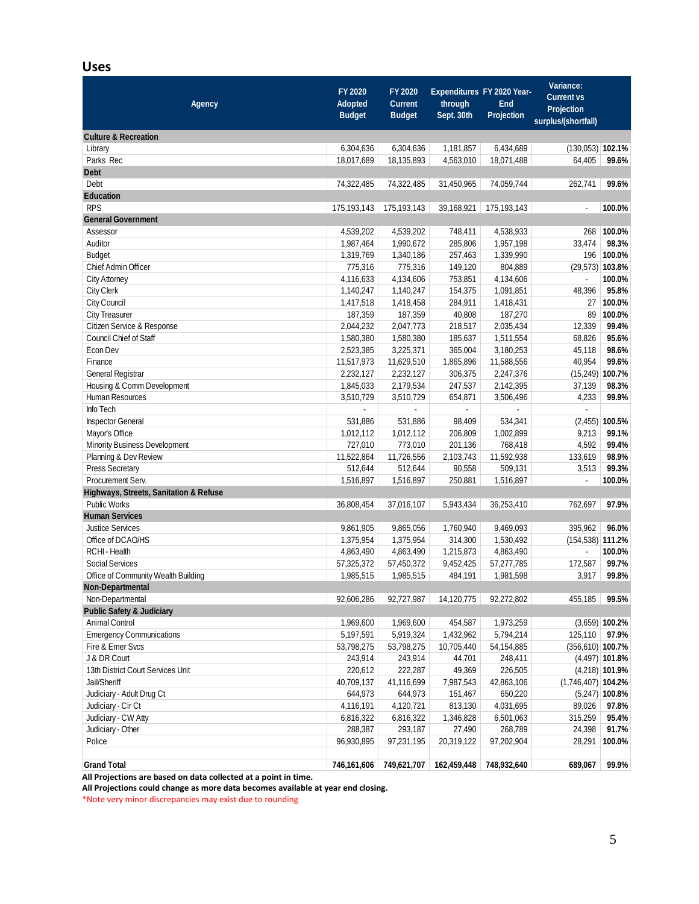#### **Uses**

| <b>Agency</b>                          | FY 2020<br><b>Adopted</b><br><b>Budget</b> | FY 2020<br><b>Current</b><br><b>Budget</b> | through<br>Sept. 30th               | Expenditures FY 2020 Year-<br><b>End</b><br>Projection | Variance:<br><b>Current vs</b><br>Projection<br>surplus/(shortfall) |                   |
|----------------------------------------|--------------------------------------------|--------------------------------------------|-------------------------------------|--------------------------------------------------------|---------------------------------------------------------------------|-------------------|
| <b>Culture &amp; Recreation</b>        |                                            |                                            |                                     |                                                        |                                                                     |                   |
| Library                                | 6,304,636                                  | 6,304,636                                  | 1,181,857                           | 6,434,689                                              | $(130,053)$ 102.1%                                                  |                   |
| Parks Rec                              | 18,017,689                                 | 18,135,893                                 | 4.563.010                           | 18,071,488                                             | 64,405                                                              | 99.6%             |
| <b>Debt</b>                            |                                            |                                            |                                     |                                                        |                                                                     |                   |
| Debt                                   | 74,322,485                                 | 74,322,485                                 | 31,450,965                          | 74,059,744                                             | 262,741                                                             | 99.6%             |
| <b>Education</b>                       |                                            |                                            |                                     |                                                        |                                                                     |                   |
| <b>RPS</b>                             | 175,193,143                                | 175,193,143                                | 39,168,921                          | 175,193,143                                            | $\blacksquare$                                                      | 100.0%            |
| <b>General Government</b>              |                                            |                                            |                                     |                                                        |                                                                     |                   |
| Assessor                               | 4,539,202                                  | 4,539,202                                  | 748,411                             | 4,538,933                                              | 268                                                                 | 100.0%            |
| Auditor                                | 1,987,464                                  | 1,990,672                                  | 285,806                             | 1,957,198                                              | 33,474                                                              | 98.3%             |
| <b>Budget</b>                          | 1,319,769                                  | 1,340,186                                  | 257,463                             | 1,339,990                                              |                                                                     | 196 100.0%        |
| Chief Admin Officer                    | 775,316                                    | 775,316                                    | 149,120                             | 804,889                                                |                                                                     | $(29,573)$ 103.8% |
| City Attorney                          | 4,116,633                                  | 4,134,606                                  | 753,851                             | 4,134,606                                              | ÷.                                                                  | 100.0%            |
| City Clerk                             | 1,140,247                                  | 1,140,247                                  | 154,375                             | 1,091,851                                              | 48,396                                                              | 95.8%             |
| City Council                           | 1,417,518                                  | 1,418,458                                  | 284,911                             | 1,418,431                                              | 27                                                                  | 100.0%            |
| <b>City Treasurer</b>                  | 187,359                                    | 187,359                                    | 40,808                              | 187,270                                                | 89                                                                  | 100.0%            |
| Citizen Service & Response             | 2,044,232                                  | 2,047,773                                  | 218,517                             | 2,035,434                                              | 12,339                                                              | 99.4%             |
| <b>Council Chief of Staff</b>          | 1,580,380                                  | 1,580,380                                  | 185,637                             | 1,511,554                                              | 68,826                                                              | 95.6%             |
| Econ Dev                               | 2,523,385                                  | 3,225,371                                  | 365,004                             | 3,180,253                                              | 45,118                                                              | 98.6%             |
| Finance                                | 11,517,973                                 | 11,629,510                                 | 1,865,896                           | 11,588,556                                             | 40,954                                                              | 99.6%             |
| General Registrar                      | 2,232,127                                  | 2,232,127                                  | 306,375                             | 2,247,376                                              | (15, 249)                                                           | 100.7%            |
| Housing & Comm Development             | 1,845,033                                  | 2,179,534                                  | 247,537                             | 2,142,395                                              | 37,139                                                              | 98.3%             |
| Human Resources                        | 3,510,729                                  | 3,510,729                                  | 654,871                             | 3,506,496                                              | 4,233                                                               | 99.9%             |
| Info Tech                              |                                            |                                            | ä,                                  | ÷.                                                     | ÷.                                                                  |                   |
| Inspector General                      | 531,886                                    | 531,886                                    | 98,409                              | 534,341                                                |                                                                     | $(2,455)$ 100.5%  |
| Mayor's Office                         | 1,012,112                                  | 1,012,112                                  | 206,809                             | 1,002,899                                              | 9,213                                                               | 99.1%             |
| Minority Business Development          | 727,010                                    | 773,010                                    | 201,136                             | 768,418                                                | 4,592                                                               | 99.4%             |
| Planning & Dev Review                  | 11,522,864                                 | 11,726,556                                 | 2,103,743                           | 11,592,938                                             | 133,619                                                             | 98.9%             |
| <b>Press Secretary</b>                 | 512,644                                    | 512,644                                    | 90,558                              | 509,131                                                | 3,513                                                               | 99.3%             |
| Procurement Serv.                      | 1,516,897                                  | 1,516,897                                  | 250,881                             | 1,516,897                                              | $\overline{\phantom{a}}$                                            | 100.0%            |
| Highways, Streets, Sanitation & Refuse |                                            |                                            |                                     |                                                        |                                                                     |                   |
| <b>Public Works</b>                    | 36,808,454                                 | 37,016,107                                 | 5,943,434                           | 36,253,410                                             | 762,697                                                             | 97.9%             |
| <b>Human Services</b>                  |                                            |                                            |                                     |                                                        |                                                                     |                   |
| <b>Justice Services</b>                | 9,861,905                                  | 9,865,056                                  | 1,760,940                           | 9,469,093                                              | 395,962                                                             | 96.0%             |
| Office of DCAO/HS                      | 1,375,954                                  | 1,375,954                                  | 314,300                             | 1,530,492                                              | $(154, 538)$ 111.2%                                                 |                   |
| RCHI - Health                          | 4,863,490                                  | 4,863,490                                  | 1,215,873                           | 4,863,490                                              |                                                                     | 100.0%            |
| Social Services                        | 57,325,372                                 | 57,450,372                                 | 9,452,425                           | 57,277,785                                             | 172,587                                                             | 99.7%             |
| Office of Community Wealth Building    | 1,985,515                                  | 1,985,515                                  | 484,191                             | 1,981,598                                              | 3,917                                                               | 99.8%             |
| Non-Departmental                       |                                            |                                            |                                     |                                                        |                                                                     |                   |
| Non-Departmental                       | 92,606,286                                 | 92,727,987                                 | 14,120,775                          | 92,272,802                                             | 455,185 99.5%                                                       |                   |
| <b>Public Safety &amp; Judiciary</b>   |                                            |                                            |                                     |                                                        |                                                                     |                   |
| <b>Animal Control</b>                  | 1,969,600                                  | 1,969,600                                  | 454,587                             | 1,973,259                                              |                                                                     | $(3,659)$ 100.2%  |
| <b>Emergency Communications</b>        | 5,197,591                                  | 5,919,324                                  | 1,432,962                           | 5,794,214                                              | 125,110                                                             | 97.9%             |
| Fire & Emer Svcs                       | 53,798,275                                 | 53,798,275                                 | 10,705,440                          | 54,154,885                                             | $(356, 610)$ 100.7%                                                 |                   |
| J & DR Court                           | 243,914                                    | 243,914                                    | 44,701                              | 248,411                                                |                                                                     | $(4,497)$ 101.8%  |
| 13th District Court Services Unit      | 220,612                                    | 222,287                                    | 49,369                              | 226,505                                                |                                                                     | $(4,218)$ 101.9%  |
| Jail/Sheriff                           | 40,709,137                                 | 41,116,699                                 | 7,987,543                           | 42,863,106                                             | $(1,746,407)$ 104.2%                                                |                   |
| Judiciary - Adult Drug Ct              | 644,973                                    | 644,973                                    | 151,467                             | 650,220                                                |                                                                     | $(5,247)$ 100.8%  |
| Judiciary - Cir Ct                     | 4,116,191                                  | 4,120,721                                  | 813,130                             | 4,031,695                                              | 89,026                                                              | 97.8%             |
| Judiciary - CW Atty                    | 6,816,322                                  | 6,816,322                                  | 1,346,828                           | 6,501,063                                              | 315,259                                                             | 95.4%             |
| Judiciary - Other                      | 288,387                                    | 293,187                                    | 27,490                              | 268,789                                                | 24,398                                                              | 91.7%             |
| Police                                 | 96,930,895                                 | 97,231,195                                 | 20,319,122                          | 97,202,904                                             | 28,291                                                              | 100.0%            |
|                                        |                                            |                                            |                                     |                                                        |                                                                     |                   |
| <b>Grand Total</b>                     |                                            |                                            | 746,161,606 749,621,707 162,459,448 | 748,932,640                                            | 689,067                                                             | 99.9%             |

**All Projections are based on data collected at a point in time.**

**All Projections could change as more data becomes available at year end closing.**

\*Note very minor discrepancies may exist due to rounding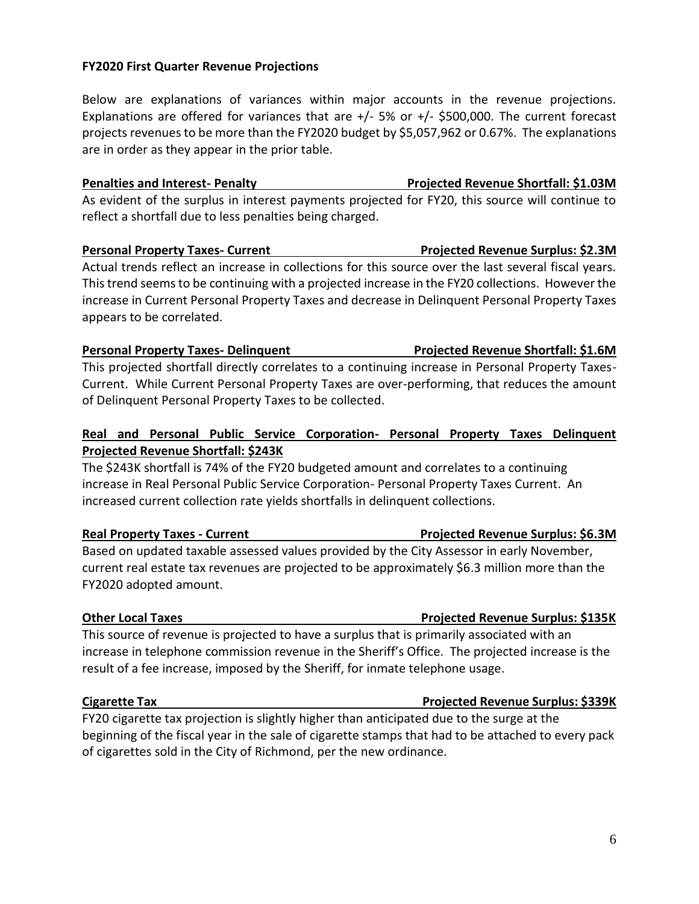### **FY2020 First Quarter Revenue Projections**

Below are explanations of variances within major accounts in the revenue projections. Explanations are offered for variances that are  $+/$ - 5% or  $+/-$  \$500,000. The current forecast projects revenues to be more than the FY2020 budget by \$5,057,962 or 0.67%. The explanations are in order as they appear in the prior table.

# **Penalties and Interest- Penalty Projected Revenue Shortfall: \$1.03M**

As evident of the surplus in interest payments projected for FY20, this source will continue to reflect a shortfall due to less penalties being charged.

### **Personal Property Taxes- Current Current Projected Revenue Surplus: \$2.3M**

Actual trends reflect an increase in collections for this source over the last several fiscal years. This trend seems to be continuing with a projected increase in the FY20 collections. However the increase in Current Personal Property Taxes and decrease in Delinquent Personal Property Taxes appears to be correlated.

# This projected shortfall directly correlates to a continuing increase in Personal Property Taxes-Current. While Current Personal Property Taxes are over-performing, that reduces the amount of Delinquent Personal Property Taxes to be collected.

### **Real and Personal Public Service Corporation- Personal Property Taxes Delinquent Projected Revenue Shortfall: \$243K**

The \$243K shortfall is 74% of the FY20 budgeted amount and correlates to a continuing increase in Real Personal Public Service Corporation- Personal Property Taxes Current. An increased current collection rate yields shortfalls in delinquent collections.

Based on updated taxable assessed values provided by the City Assessor in early November, current real estate tax revenues are projected to be approximately \$6.3 million more than the FY2020 adopted amount.

This source of revenue is projected to have a surplus that is primarily associated with an increase in telephone commission revenue in the Sheriff's Office. The projected increase is the result of a fee increase, imposed by the Sheriff, for inmate telephone usage.

#### **Cigarette Tax Projected Revenue Surplus: \$339K**

FY20 cigarette tax projection is slightly higher than anticipated due to the surge at the beginning of the fiscal year in the sale of cigarette stamps that had to be attached to every pack of cigarettes sold in the City of Richmond, per the new ordinance.

### **Other Local Taxes Projected Revenue Surplus: \$135K**

# **Personal Property Taxes- Delinquent Projected Revenue Shortfall: \$1.6M**

### **Real Property Taxes - Current Projected Revenue Surplus: \$6.3M**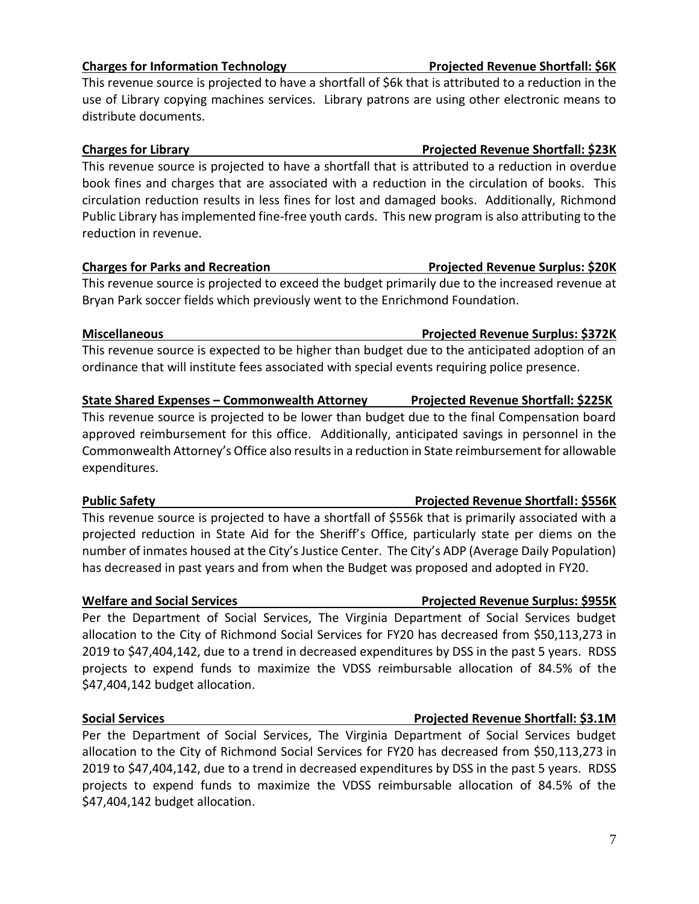# **Charges for Information Technology Projected Revenue Shortfall: \$6K**

This revenue source is projected to have a shortfall of \$6k that is attributed to a reduction in the use of Library copying machines services. Library patrons are using other electronic means to distribute documents.

### **Charges for Library** 23K

This revenue source is projected to have a shortfall that is attributed to a reduction in overdue book fines and charges that are associated with a reduction in the circulation of books. This circulation reduction results in less fines for lost and damaged books. Additionally, Richmond Public Library has implemented fine-free youth cards. This new program is also attributing to the reduction in revenue.

### **Charges for Parks and Recreation Projected Revenue Surplus: \$20K**

This revenue source is projected to exceed the budget primarily due to the increased revenue at Bryan Park soccer fields which previously went to the Enrichmond Foundation.

This revenue source is expected to be higher than budget due to the anticipated adoption of an ordinance that will institute fees associated with special events requiring police presence.

### **State Shared Expenses – Commonwealth Attorney Projected Revenue Shortfall: \$225K**

This revenue source is projected to be lower than budget due to the final Compensation board approved reimbursement for this office. Additionally, anticipated savings in personnel in the Commonwealth Attorney's Office also results in a reduction in State reimbursement for allowable expenditures.

This revenue source is projected to have a shortfall of \$556k that is primarily associated with a projected reduction in State Aid for the Sheriff's Office, particularly state per diems on the number of inmates housed at the City's Justice Center. The City's ADP (Average Daily Population) has decreased in past years and from when the Budget was proposed and adopted in FY20.

### **Welfare and Social Services Projected Revenue Surplus: \$955K**

Per the Department of Social Services, The Virginia Department of Social Services budget allocation to the City of Richmond Social Services for FY20 has decreased from \$50,113,273 in 2019 to \$47,404,142, due to a trend in decreased expenditures by DSS in the past 5 years. RDSS projects to expend funds to maximize the VDSS reimbursable allocation of 84.5% of the \$47,404,142 budget allocation.

Per the Department of Social Services, The Virginia Department of Social Services budget allocation to the City of Richmond Social Services for FY20 has decreased from \$50,113,273 in 2019 to \$47,404,142, due to a trend in decreased expenditures by DSS in the past 5 years. RDSS projects to expend funds to maximize the VDSS reimbursable allocation of 84.5% of the \$47,404,142 budget allocation.

# **Miscellaneous Projected Revenue Surplus: \$372K**

### **Public Safety Projected Revenue Shortfall: \$556K**

# **Social Services Projected Revenue Shortfall: \$3.1M**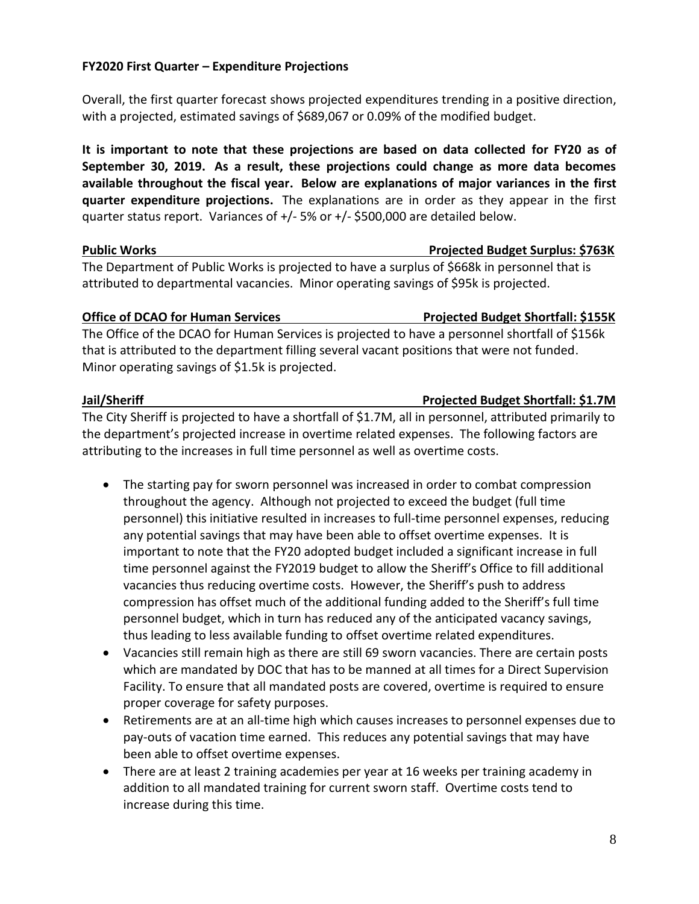8

### **FY2020 First Quarter – Expenditure Projections**

Overall, the first quarter forecast shows projected expenditures trending in a positive direction, with a projected, estimated savings of \$689,067 or 0.09% of the modified budget.

**It is important to note that these projections are based on data collected for FY20 as of September 30, 2019. As a result, these projections could change as more data becomes available throughout the fiscal year. Below are explanations of major variances in the first quarter expenditure projections.** The explanations are in order as they appear in the first quarter status report. Variances of +/- 5% or +/- \$500,000 are detailed below.

The Department of Public Works is projected to have a surplus of \$668k in personnel that is attributed to departmental vacancies. Minor operating savings of \$95k is projected.

### **Office of DCAO for Human Services Projected Budget Shortfall: \$155K**

The Office of the DCAO for Human Services is projected to have a personnel shortfall of \$156k that is attributed to the department filling several vacant positions that were not funded. Minor operating savings of \$1.5k is projected.

### **Jail/Sheriff Projected Budget Shortfall: \$1.7M**

The City Sheriff is projected to have a shortfall of \$1.7M, all in personnel, attributed primarily to the department's projected increase in overtime related expenses. The following factors are attributing to the increases in full time personnel as well as overtime costs.

- The starting pay for sworn personnel was increased in order to combat compression throughout the agency. Although not projected to exceed the budget (full time personnel) this initiative resulted in increases to full-time personnel expenses, reducing any potential savings that may have been able to offset overtime expenses. It is important to note that the FY20 adopted budget included a significant increase in full time personnel against the FY2019 budget to allow the Sheriff's Office to fill additional vacancies thus reducing overtime costs. However, the Sheriff's push to address compression has offset much of the additional funding added to the Sheriff's full time personnel budget, which in turn has reduced any of the anticipated vacancy savings, thus leading to less available funding to offset overtime related expenditures.
- Vacancies still remain high as there are still 69 sworn vacancies. There are certain posts which are mandated by DOC that has to be manned at all times for a Direct Supervision Facility. To ensure that all mandated posts are covered, overtime is required to ensure proper coverage for safety purposes.
- Retirements are at an all-time high which causes increases to personnel expenses due to pay-outs of vacation time earned. This reduces any potential savings that may have been able to offset overtime expenses.
- There are at least 2 training academies per year at 16 weeks per training academy in addition to all mandated training for current sworn staff. Overtime costs tend to increase during this time.

# **Public Works Projected Budget Surplus: \$763K**